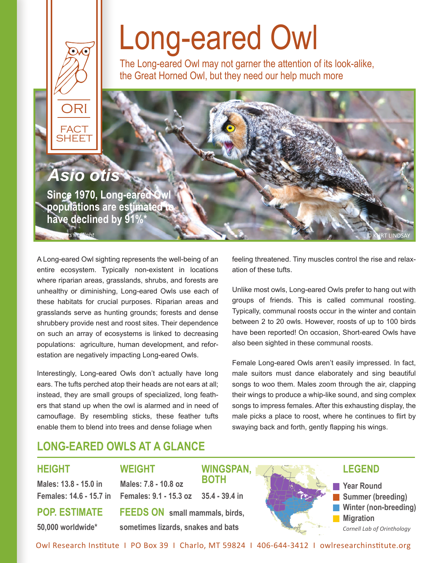## Long-eared Owl

The Long-eared Owl may not garner the attention of its look-alike, the Great Horned Owl, but they need our help much more



A Long-eared Owl sighting represents the well-being of an entire ecosystem. Typically non-existent in locations where riparian areas, grasslands, shrubs, and forests are unhealthy or diminishing, Long-eared Owls use each of these habitats for crucial purposes. Riparian areas and grasslands serve as hunting grounds; forests and dense shrubbery provide nest and roost sites. Their dependence on such an array of ecosystems is linked to decreasing populations: agriculture, human development, and reforestation are negatively impacting Long-eared Owls.

Interestingly, Long-eared Owls don't actually have long ears. The tufts perched atop their heads are not ears at all; instead, they are small groups of specialized, long feathers that stand up when the owl is alarmed and in need of camouflage. By resembling sticks, these feather tufts enable them to blend into trees and dense foliage when

feeling threatened. Tiny muscles control the rise and relaxation of these tufts.

Unlike most owls, Long-eared Owls prefer to hang out with groups of friends. This is called communal roosting. Typically, communal roosts occur in the winter and contain between 2 to 20 owls. However, roosts of up to 100 birds have been reported! On occasion, Short-eared Owls have also been sighted in these communal roosts.

Female Long-eared Owls aren't easily impressed. In fact, male suitors must dance elaborately and sing beautiful songs to woo them. Males zoom through the air, clapping their wings to produce a whip-like sound, and sing complex songs to impress females. After this exhausting display, the male picks a place to roost, where he continues to flirt by swaying back and forth, gently flapping his wings.

## **LONG-EARED OWLS AT A GLANCE**

**WEIGHT**

**Males: 7.8 - 10.8 oz** 

#### **HEIGHT**

**Males: 13.8 - 15.0 in Females: 14.6 - 15.7 in Females: 9.1 - 15.3 oz**

**POP. ESTIMATE 50,000 worldwide\***

**FEEDS ON small mammals, birds, sometimes lizards, snakes and bats**



Owl Research Ins�tute I PO Box 39 I Charlo, MT 59824 I 406-644-3412 I owlresearchins�tute.org

**WINGSPAN,** 

**35.4 - 39.4 in**

**BOTH**